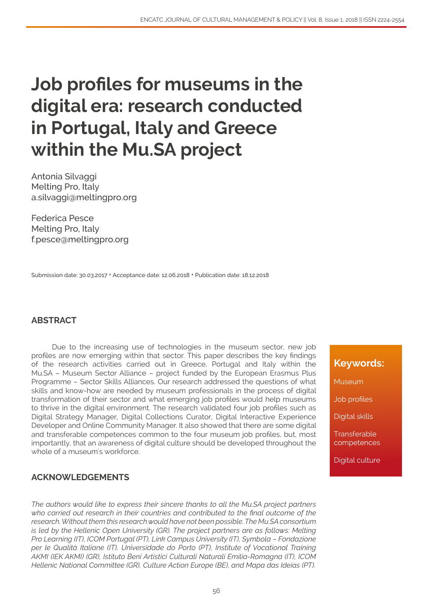# **Job profiles for museums in the digital era: research conducted in Portugal, Italy and Greece within the Mu.SA project**

Antonia Silvaggi Melting Pro, Italy a.silvaggi@meltingpro.org

Federica Pesce Melting Pro, Italy f.pesce@meltingpro.org

Submission date: 30.03.2017 • Acceptance date: 12.06.2018 • Publication date: 18.12.2018

#### **ABSTRACT**

Due to the increasing use of technologies in the museum sector, new job profiles are now emerging within that sector. This paper describes the key findings of the research activities carried out in Greece, Portugal and Italy within the Mu.SA – Museum Sector Alliance – project funded by the European Erasmus Plus Programme – Sector Skills Alliances. Our research addressed the questions of what skills and know-how are needed by museum professionals in the process of digital transformation of their sector and what emerging job profiles would help museums to thrive in the digital environment. The research validated four job profiles such as Digital Strategy Manager, Digital Collections Curator, Digital Interactive Experience Developer and Online Community Manager. It also showed that there are some digital and transferable competences common to the four museum job profiles, but, most importantly, that an awareness of digital culture should be developed throughout the whole of a museum's workforce.

#### **ACKNOWLEDGEMENTS**

*The authors would like to express their sincere thanks to all the Mu.SA project partners who carried out research in their countries and contributed to the final outcome of the research. Without them this research would have not been possible. The Mu.SA consortium is led by the Hellenic Open University (GR). The project partners are as follows: Melting Pro Learning (IT), ICOM Portugal (PT), Link Campus University (IT), Symbola – Fondazione per le Qualità Italiane (IT), Universidade do Porto (PT), Institute of Vocational Training AKMI (IEK AKMI) (GR), Istituto Beni Artistici Culturali Naturali Emilia-Romagna (IT), ICOM Hellenic National Committee (GR), Culture Action Europe (BE), and Mapa das Ideias (PT).*

## **Keywords:**

Museum

Job profiles

Digital skills

**Transferable** competences

Digital culture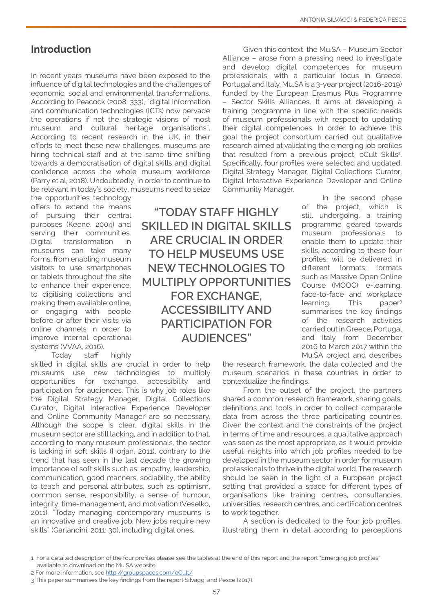## **Introduction**

In recent years museums have been exposed to the influence of digital technologies and the challenges of economic, social and environmental transformations. According to Peacock (2008: 333), "digital information and communication technologies (ICTs) now pervade the operations if not the strategic visions of most museum and cultural heritage organisations". According to recent research in the UK, in their efforts to meet these new challenges, museums are hiring technical staff and at the same time shifting towards a democratisation of digital skills and digital confidence across the whole museum workforce (Parry et al, 2018). Undoubtedly, in order to continue to be relevant in today's society, museums need to seize

the opportunities technology offers to extend the means of pursuing their central purposes (Keene, 2004) and serving their communities. Digital transformation in museums can take many forms, from enabling museum visitors to use smartphones or tablets throughout the site to enhance their experience, to digitising collections and making them available online, or engaging with people before or after their visits via online channels in order to improve internal operational systems (VVAA, 2016).

Today staff highly

skilled in digital skills are crucial in order to help museums use new technologies to multiply opportunities for exchange, accessibility and participation for audiences. This is why job roles like the Digital Strategy Manager, Digital Collections Curator, Digital Interactive Experience Developer and Online Community Manager<sup>1</sup> are so necessary. Although the scope is clear, digital skills in the museum sector are still lacking, and in addition to that, according to many museum professionals, the sector is lacking in soft skills (Horjan, 2011), contrary to the trend that has seen in the last decade the growing importance of soft skills such as: empathy, leadership, communication, good manners, sociability, the ability to teach and personal attributes, such as optimism, common sense, responsibility, a sense of humour, integrity, time-management, and motivation (Veselko, 2011). "Today managing contemporary museums is an innovative and creative job. New jobs require new skills" (Garlandini, 2011: 30), including digital ones.

**"TODAY STAFF HIGHLY SKILLED IN DIGITAL SKILLS ARE CRUCIAL IN ORDER TO HELP MUSEUMS USE NEW TECHNOLOGIES TO MULTIPLY OPPORTUNITIES FOR EXCHANGE, ACCESSIBILITY AND PARTICIPATION FOR AUDIENCES"**

Given this context, the Mu.SA – Museum Sector Alliance – arose from a pressing need to investigate and develop digital competences for museum professionals, with a particular focus in Greece, Portugal and Italy. Mu.SA is a 3-year project (2016-2019) funded by the European Erasmus Plus Programme – Sector Skills Alliances. It aims at developing a training programme in line with the specific needs of museum professionals with respect to updating their digital competences. In order to achieve this goal the project consortium carried out qualitative research aimed at validating the emerging job profiles that resulted from a previous project, eCult Skills<sup>2</sup>. Specifically, four profiles were selected and updated, Digital Strategy Manager, Digital Collections Curator, Digital Interactive Experience Developer and Online Community Manager.

In the second phase of the project, which is still undergoing, a training programme geared towards museum professionals to enable them to update their skills, according to these four profiles, will be delivered in different formats; formats such as Massive Open Online Course (MOOC), e-learning, face-to-face and workplace learning. This paper3 summarises the key findings of the research activities carried out in Greece, Portugal and Italy from December 2016 to March 2017 within the Mu.SA project and describes

the research framework, the data collected and the museum scenarios in these countries in order to contextualize the findings.

From the outset of the project, the partners shared a common research framework, sharing goals, definitions and tools in order to collect comparable data from across the three participating countries. Given the context and the constraints of the project in terms of time and resources, a qualitative approach was seen as the most appropriate, as it would provide useful insights into which job profiles needed to be developed in the museum sector in order for museum professionals to thrive in the digital world. The research should be seen in the light of a European project setting that provided a space for different types of organisations like training centres, consultancies, universities, research centres, and certification centres to work together.

A section is dedicated to the four job profiles, illustrating them in detail according to perceptions

<sup>1</sup> For a detailed description of the four profiles please see the tables at the end of this report and the report "Emerging job profiles" available to download on the Mu.SA website.

<sup>2</sup> For more information, see<http://groupspaces.com/eCult/>

<sup>3</sup> This paper summarises the key findings from the report Silvaggi and Pesce (2017).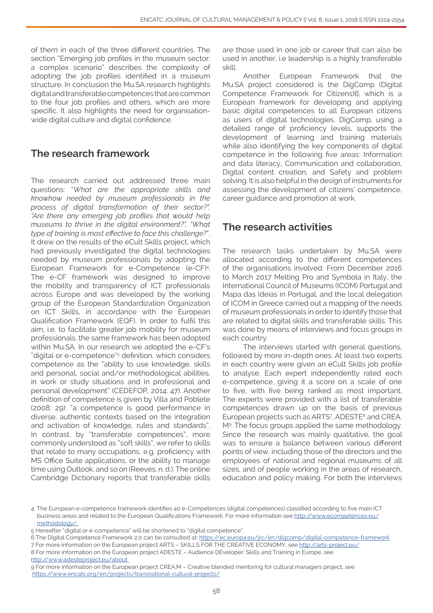of them in each of the three different countries. The section "Emerging job profiles in the museum sector: a complex scenario" describes the complexity of adopting the job profiles identified in a museum structure. In conclusion the Mu.SA research highlights digital and transferable competences that are common to the four job profiles and others, which are more specific. It also highlights the need for organisationwide digital culture and digital confidence.

# **The research framework**

The research carried out addressed three main questions: "*What are the appropriate skills and knowhow needed by museum professionals in the process of digital transformation of their sector?", "Are there any emerging job profiles that would help museums to thrive in the digital environment?", "What type of training is most effective to face this challenge?*". It drew on the results of the eCult Skills project, which had previously investigated the digital technologies needed by museum professionals by adopting the European Framework for e-Competence (e-CF)4 . The e-CF framework was designed to improve the mobility and transparency of ICT professionals across Europe and was developed by the working group of the European Standardization Organization on ICT Skills, in accordance with the European Qualification Framework (EQF). In order to fulfil this aim, i.e. to facilitate greater job mobility for museum professionals, the same framework has been adopted within Mu.SA. In our research we adopted the e-CF's "digital or e-competence"5 definition, which considers competence as the "ability to use knowledge, skills and personal, social and/or methodological abilities, in work or study situations and in professional and personal development" (CEDEFOP, 2014: 47). Another definition of competence is given by Villa and Poblete (2008: 29): "a competence is good performance in diverse, authentic contexts based on the integration and activation of knowledge, rules and standards". In contrast, by "transferable competences", more commonly understood as "soft skills", we refer to skills that relate to many occupations, e.g. proficiency with MS Office Suite applications, or the ability to manage time using Outlook, and so on (Reeves, n. d.). The online Cambridge Dictionary reports that transferable skills

are those used in one job or career that can also be used in another, i.e leadership is a highly transferable skill.

Another European Framework that the Mu.SA project considered is the DigComp (Digital Competence Framework for Citizens)6, which is a European framework for developing and applying basic digital competences to all European citizens as users of digital technologies. DigComp, using a detailed range of proficiency levels, supports the development of learning and training materials while also identifying the key components of digital competence in the following five areas: Information and data literacy, Communication and collaboration, Digital content creation, and Safety and problem solving. It is also helpful in the design of instruments for assessing the development of citizens' competence, career guidance and promotion at work.

# **The research activities**

The research tasks undertaken by Mu.SA were allocated according to the different competences of the organisations involved. From December 2016 to March 2017 Melting Pro and Symbola in Italy, the International Council of Museums (ICOM) Portugal and Mapa das Ideias in Portugal, and the local delegation of ICOM in Greece carried out a mapping of the needs of museum professionals in order to identify those that are related to digital skills and transferable skills. This was done by means of interviews and focus groups in each country.

The interviews started with general questions, followed by more in-depth ones. At least two experts in each country were given an eCult Skills job profile to analyse. Each expert independently rated each e-competence, giving it a score on a scale of one to five, with five being ranked as most important. The experts were provided with a list of transferable competences drawn up on the basis of previous European projects such as ARTS<sup>7</sup>, ADESTE<sup>8</sup> and CREA. M<sup>9</sup>. The focus groups applied the same methodology. Since the research was mainly qualitative, the goal was to ensure a balance between various different points of view, including those of the directors and the employees of national and regional museums of all sizes, and of people working in the areas of research, education and policy making. For both the interviews

<sup>4</sup> The European e-competence framework identifies 40 e-Competences (digital competences) classified according to five main ICT business areas and related to the European Qualifications Framework. For more information see [http://www.ecompetences.eu/](http://www.ecompetences.eu/methodology/ ) [methodology/](http://www.ecompetences.eu/methodology/ ) 

<sup>5</sup> Hereafter "digital or e-competence" will be shortened to "digital competence".

<sup>6</sup> The Digital Competence Framework 2.0 can be consulted at:<https://ec.europa.eu/jrc/en/digcomp/digital-competence-framework>

<sup>7</sup> For more information on the European project ARTS – SKILLS FOR THE CREATIVE ECONOMY, see <http://arts-project.eu/>

<sup>8</sup> For more information on the European project ADESTE – Audience DEveloper: Skills and Training in Europe, see [http://www.adesteproject.eu/about](http://www.adesteproject.eu/about ) 

<sup>9</sup> For more information on the European project CREA.M – Creative blended mentoring for cultural managers project, see <https://www.encatc.org/en/projects/transnational-cultural-projects/>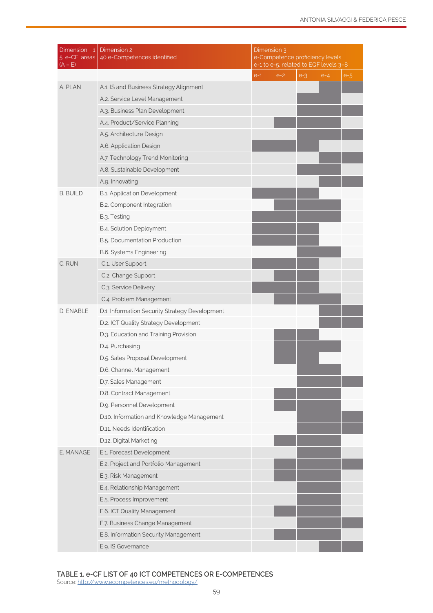| Dimension 1<br>5 e-CF areas<br>(A – E) | Dimension 2<br>40 e-Competences identified     | Dimension 3<br>e-Competence proficiency levels<br>e-1 to e-5, related to EQF levels 3-8 |       |       |       |       |
|----------------------------------------|------------------------------------------------|-----------------------------------------------------------------------------------------|-------|-------|-------|-------|
|                                        |                                                | $e-1$                                                                                   | $e-2$ | $e-3$ | $e-4$ | $e-5$ |
| A. PLAN                                | A.1. IS and Business Strategy Alignment        |                                                                                         |       |       |       |       |
|                                        | A.2. Service Level Management                  |                                                                                         |       |       |       |       |
|                                        | A.3. Business Plan Development                 |                                                                                         |       |       |       |       |
|                                        | A.4. Product/Service Planning                  |                                                                                         |       |       |       |       |
|                                        | A.5. Architecture Design                       |                                                                                         |       |       |       |       |
|                                        | A.6. Application Design                        |                                                                                         |       |       |       |       |
|                                        | A.7. Technology Trend Monitoring               |                                                                                         |       |       |       |       |
|                                        | A.8. Sustainable Development                   |                                                                                         |       |       |       |       |
|                                        | A.g. Innovating                                |                                                                                         |       |       |       |       |
| <b>B. BUILD</b>                        | B.1. Application Development                   |                                                                                         |       |       |       |       |
|                                        | B.2. Component Integration                     |                                                                                         |       |       |       |       |
|                                        | B.3. Testing                                   |                                                                                         |       |       |       |       |
|                                        | B.4. Solution Deployment                       |                                                                                         |       |       |       |       |
|                                        | B.5. Documentation Production                  |                                                                                         |       |       |       |       |
|                                        | <b>B.6. Systems Engineering</b>                |                                                                                         |       |       |       |       |
| C. RUN                                 | C.1. User Support                              |                                                                                         |       |       |       |       |
|                                        | C.2. Change Support                            |                                                                                         |       |       |       |       |
|                                        | C.3. Service Delivery                          |                                                                                         |       |       |       |       |
|                                        | C.4. Problem Management                        |                                                                                         |       |       |       |       |
| D. ENABLE                              | D.1. Information Security Strategy Development |                                                                                         |       |       |       |       |
|                                        | D.2. ICT Quality Strategy Development          |                                                                                         |       |       |       |       |
|                                        | D.3. Education and Training Provision          |                                                                                         |       |       |       |       |
|                                        | D.4. Purchasing                                |                                                                                         |       |       |       |       |
|                                        | D.5. Sales Proposal Development                |                                                                                         |       |       |       |       |
|                                        | D.6. Channel Management                        |                                                                                         |       |       |       |       |
|                                        | D.7. Sales Management                          |                                                                                         |       |       |       |       |
|                                        | D.8. Contract Management                       |                                                                                         |       |       |       |       |
|                                        | D.g. Personnel Development                     |                                                                                         |       |       |       |       |
|                                        | D.10. Information and Knowledge Management     |                                                                                         |       |       |       |       |
|                                        | D.11. Needs Identification                     |                                                                                         |       |       |       |       |
|                                        | D.12. Digital Marketing                        |                                                                                         |       |       |       |       |
| E. MANAGE                              | E.1. Forecast Development                      |                                                                                         |       |       |       |       |
|                                        | E.2. Project and Portfolio Management          |                                                                                         |       |       |       |       |
|                                        | E.3. Risk Management                           |                                                                                         |       |       |       |       |
|                                        | E.4. Relationship Management                   |                                                                                         |       |       |       |       |
|                                        | E.5. Process Improvement                       |                                                                                         |       |       |       |       |
|                                        | E.6. ICT Quality Management                    |                                                                                         |       |       |       |       |
|                                        | E.7. Business Change Management                |                                                                                         |       |       |       |       |
|                                        | E.8. Information Security Management           |                                                                                         |       |       |       |       |
|                                        | E.g. IS Governance                             |                                                                                         |       |       |       |       |

**TABLE 1. e-CF LIST OF 40 ICT COMPETENCES OR E-COMPETENCES**

Source: <u>[http://www.ecompetences.eu/methodology/](http://www.ecompetences.eu/methodology/ )</u>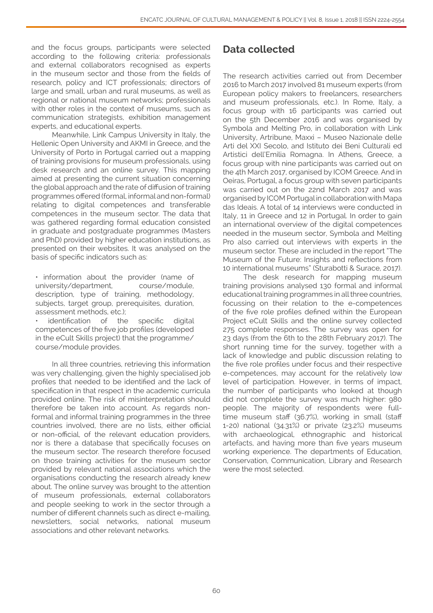and the focus groups, participants were selected according to the following criteria: professionals and external collaborators recognised as experts in the museum sector and those from the fields of research, policy and ICT professionals; directors of large and small, urban and rural museums, as well as regional or national museum networks; professionals with other roles in the context of museums, such as communication strategists, exhibition management experts, and educational experts.

Meanwhile, Link Campus University in Italy, the Hellenic Open University and AKMI in Greece, and the University of Porto in Portugal carried out a mapping of training provisions for museum professionals, using desk research and an online survey. This mapping aimed at presenting the current situation concerning the global approach and the rate of diffusion of training programmes offered (formal, informal and non-formal) relating to digital competences and transferable competences in the museum sector. The data that was gathered regarding formal education consisted in graduate and postgraduate programmes (Masters and PhD) provided by higher education institutions, as presented on their websites. It was analysed on the basis of specific indicators such as:

• information about the provider (name of university/department, course/module, description, type of training, methodology, subjects, target group, prerequisites, duration, assessment methods, etc.);

identification of the specific digital competences of the five job profiles (developed in the eCult Skills project) that the programme/ course/module provides.

In all three countries, retrieving this information was very challenging, given the highly specialised job profiles that needed to be identified and the lack of specification in that respect in the academic curricula provided online. The risk of misinterpretation should therefore be taken into account. As regards nonformal and informal training programmes in the three countries involved, there are no lists, either official or non-official, of the relevant education providers, nor is there a database that specifically focuses on the museum sector. The research therefore focused on those training activities for the museum sector provided by relevant national associations which the organisations conducting the research already knew about. The online survey was brought to the attention of museum professionals, external collaborators and people seeking to work in the sector through a number of different channels such as direct e-mailing, newsletters, social networks, national museum associations and other relevant networks.

# **Data collected**

The research activities carried out from December 2016 to March 2017 involved 81 museum experts (from European policy makers to freelancers, researchers and museum professionals, etc.). In Rome, Italy, a focus group with 16 participants was carried out on the 5th December 2016 and was organised by Symbola and Melting Pro, in collaboration with Link University, Artribune, Maxxi – Museo Nazionale delle Arti del XXI Secolo, and Istituto dei Beni Culturali ed Artistici dell'Emilia Romagna. In Athens, Greece, a focus group with nine participants was carried out on the 4th March 2017, organised by ICOM Greece. And in Oeiras, Portugal, a focus group with seven participants was carried out on the 22nd March 2017 and was organised by ICOM Portugal in collaboration with Mapa das Ideais. A total of 14 interviews were conducted in Italy, 11 in Greece and 12 in Portugal. In order to gain an international overview of the digital competences needed in the museum sector, Symbola and Melting Pro also carried out interviews with experts in the museum sector. These are included in the report "The Museum of the Future: Insights and reflections from 10 international museums" (Sturabotti & Surace, 2017).

The desk research for mapping museum training provisions analysed 130 formal and informal educational training programmes in all three countries, focussing on their relation to the e-competences of the five role profiles defined within the European Project eCult Skills and the online survey collected 275 complete responses. The survey was open for 23 days (from the 6th to the 28th February 2017). The short running time for the survey, together with a lack of knowledge and public discussion relating to the five role profiles under focus and their respective e-competences, may account for the relatively low level of participation. However, in terms of impact, the number of participants who looked at though did not complete the survey was much higher: 980 people. The majority of respondents were fulltime museum staff (36.7%), working in small (staff 1-20) national (34.31%) or private (23.2%) museums with archaeological, ethnographic and historical artefacts, and having more than five years museum working experience. The departments of Education, Conservation, Communication, Library and Research were the most selected.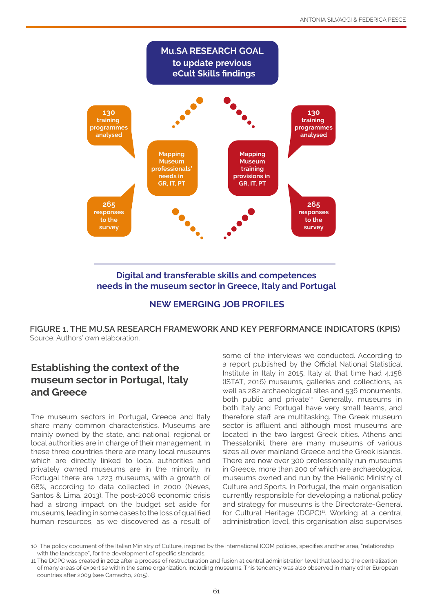

**needs in the museum sector in Greece, Italy and Portugal**



**FIGURE 1. THE MU.SA RESEARCH FRAMEWORK AND KEY PERFORMANCE INDICATORS (KPIS)** Source: Authors' own elaboration.

# **Establishing the context of the museum sector in Portugal, Italy and Greece**

The museum sectors in Portugal, Greece and Italy share many common characteristics. Museums are mainly owned by the state, and national, regional or local authorities are in charge of their management. In these three countries there are many local museums which are directly linked to local authorities and privately owned museums are in the minority. In Portugal there are 1,223 museums, with a growth of 68%, according to data collected in 2000 (Neves, Santos & Lima, 2013). The post-2008 economic crisis had a strong impact on the budget set aside for museums, leading in some cases to the loss of qualified human resources, as we discovered as a result of some of the interviews we conducted. According to a report published by the Official National Statistical Institute in Italy in 2015, Italy at that time had 4,158 (ISTAT, 2016) museums, galleries and collections, as well as 282 archaeological sites and 536 monuments, both public and private<sup>10</sup>. Generally, museums in both Italy and Portugal have very small teams, and therefore staff are multitasking. The Greek museum sector is affluent and although most museums are located in the two largest Greek cities, Athens and Thessaloniki, there are many museums of various sizes all over mainland Greece and the Greek islands. There are now over 300 professionally run museums in Greece, more than 200 of which are archaeological museums owned and run by the Hellenic Ministry of Culture and Sports. In Portugal, the main organisation currently responsible for developing a national policy and strategy for museums is the Directorate-General for Cultural Heritage (DGPC)<sup>11</sup>. Working at a central administration level, this organisation also supervises

<sup>10</sup> The policy document of the Italian Ministry of Culture, inspired by the international ICOM policies, specifies another area, "relationship with the landscape", for the development of specific standards.

<sup>11</sup> The DGPC was created in 2012 after a process of restructuration and fusion at central administration level that lead to the centralization of many areas of expertise within the same organization, including museums. This tendency was also observed in many other European countries after 2009 (see Camacho, 2015).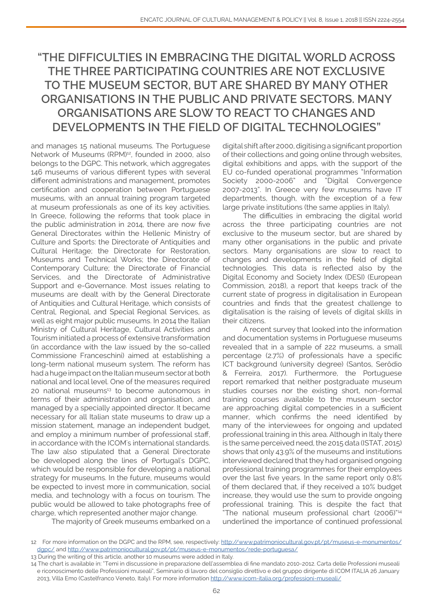# **"THE DIFFICULTIES IN EMBRACING THE DIGITAL WORLD ACROSS THE THREE PARTICIPATING COUNTRIES ARE NOT EXCLUSIVE TO THE MUSEUM SECTOR, BUT ARE SHARED BY MANY OTHER ORGANISATIONS IN THE PUBLIC AND PRIVATE SECTORS. MANY ORGANISATIONS ARE SLOW TO REACT TO CHANGES AND DEVELOPMENTS IN THE FIELD OF DIGITAL TECHNOLOGIES"**

and manages 15 national museums. The Portuguese Network of Museums (RPM)<sup>12</sup>, founded in 2000, also belongs to the DGPC. This network, which aggregates 146 museums of various different types with several different administrations and management, promotes certification and cooperation between Portuguese museums, with an annual training program targeted at museum professionals as one of its key activities. In Greece, following the reforms that took place in the public administration in 2014, there are now five General Directorates within the Hellenic Ministry of Culture and Sports: the Directorate of Antiquities and Cultural Heritage; the Directorate for Restoration, Museums and Technical Works; the Directorate of Contemporary Culture; the Directorate of Financial Services, and the Directorate of Administrative Support and e-Governance. Most issues relating to museums are dealt with by the General Directorate of Antiquities and Cultural Heritage, which consists of Central, Regional, and Special Regional Services, as well as eight major public museums. In 2014 the Italian Ministry of Cultural Heritage, Cultural Activities and Tourism initiated a process of extensive transformation (in accordance with the law issued by the so-called Commissione Franceschini) aimed at establishing a long-term national museum system. The reform has had a huge impact on the Italian museum sector at both national and local level. One of the measures required  $20$  national museums<sup>13</sup> to become autonomous in terms of their administration and organisation, and managed by a specially appointed director. It became necessary for all Italian state museums to draw up a mission statement, manage an independent budget, and employ a minimum number of professional staff, in accordance with the ICOM's international standards. The law also stipulated that a General Directorate be developed along the lines of Portugal's DGPC, which would be responsible for developing a national strategy for museums. In the future, museums would be expected to invest more in communication, social media, and technology with a focus on tourism. The public would be allowed to take photographs free of charge, which represented another major change.

digital shift after 2000, digitising a significant proportion of their collections and going online through websites, digital exhibitions and apps, with the support of the EU co-funded operational programmes "Information Society 2000-2006" and "Digital Convergence 2007-2013". In Greece very few museums have IT departments, though, with the exception of a few large private institutions (the same applies in Italy).

The difficulties in embracing the digital world across the three participating countries are not exclusive to the museum sector, but are shared by many other organisations in the public and private sectors. Many organisations are slow to react to changes and developments in the field of digital technologies. This data is reflected also by the Digital Economy and Society Index (DESI) (European Commission, 2018), a report that keeps track of the current state of progress in digitalisation in European countries and finds that the greatest challenge to digitalisation is the raising of levels of digital skills in their citizens.

A recent survey that looked into the information and documentation systems in Portuguese museums revealed that in a sample of 222 museums, a small percentage (2.7%) of professionals have a specific ICT background (university degree) (Santos, Serôdio & Ferreira, 2017). Furthermore, the Portuguese report remarked that neither postgraduate museum studies courses nor the existing short, non-formal training courses available to the museum sector are approaching digital competencies in a sufficient manner, which confirms the need identified by many of the interviewees for ongoing and updated professional training in this area. Although in Italy there is the same perceived need, the 2015 data (ISTAT, 2015) shows that only 43.9% of the museums and institutions interviewed declared that they had organised ongoing professional training programmes for their employees over the last five years. In the same report only 0.8% of them declared that, if they received a 10% budget increase, they would use the sum to provide ongoing professional training. This is despite the fact that "The national museum professional chart (2006)"14 underlined the importance of continued professional

The majority of Greek museums embarked on a

<sup>12</sup> For more information on the DGPC and the RPM, see, respectively: [http://www.patrimoniocultural.gov.pt/pt/museus-e-monumentos/](http://www.patrimoniocultural.gov.pt/pt/museus-e-monumentos/dgpc/) [dgpc/](http://www.patrimoniocultural.gov.pt/pt/museus-e-monumentos/dgpc/) and [http://www.patrimoniocultural.gov.pt/pt/museus-e-monumentos/rede-portuguesa/](http://www.patrimoniocultural.gov.pt/pt/museus-e-monumentos/rede-portuguesa/ )

<sup>13</sup> During the writing of this article, another 10 museums were added in Italy.

<sup>14</sup> The chart is available in: "Temi in discussione in preparazione dell'assemblea di fine mandato 2010-2012. Carta delle Professioni museali e riconoscimento delle Professioni museali", Seminario di lavoro del consiglio direttivo e del gruppo dirigente di ICOM ITALIA 26 January 2013, Villa Emo (Castelfranco Veneto, Italy). For more information [http://www.icom-italia.org/professioni-museali/](http://www.icom-italia.org/professioni-museali/ )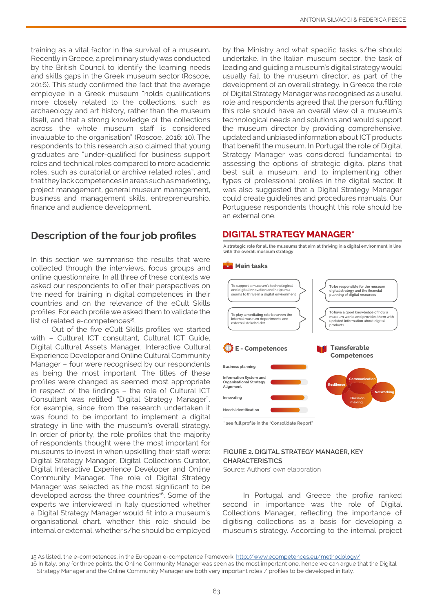training as a vital factor in the survival of a museum. Recently in Greece, a preliminary study was conducted by the British Council to identify the learning needs and skills gaps in the Greek museum sector (Roscoe, 2016). This study confirmed the fact that the average employee in a Greek museum "holds qualifications more closely related to the collections, such as archaeology and art history, rather than the museum itself, and that a strong knowledge of the collections across the whole museum staff is considered invaluable to the organisation" (Roscoe, 2016: 10). The respondents to this research also claimed that young graduates are "under-qualified for business support roles and technical roles compared to more academic roles, such as curatorial or archive related roles", and that they lack competences in areas such as marketing, project management, general museum management, business and management skills, entrepreneurship, finance and audience development.

# **Description of the four job profiles**

In this section we summarise the results that were collected through the interviews, focus groups and online questionnaire. In all three of these contexts we asked our respondents to offer their perspectives on the need for training in digital competences in their countries and on the relevance of the eCult Skills profiles. For each profile we asked them to validate the list of related e-competences<sup>15</sup>.

Out of the five eCult Skills profiles we started with – Cultural ICT consultant, Cultural ICT Guide, Digital Cultural Assets Manager, Interactive Cultural Experience Developer and Online Cultural Community Manager – four were recognised by our respondents as being the most important. The titles of these profiles were changed as seemed most appropriate in respect of the findings – the role of Cultural ICT Consultant was retitled "Digital Strategy Manager", for example, since from the research undertaken it was found to be important to implement a digital strategy in line with the museum's overall strategy. In order of priority, the role profiles that the majority of respondents thought were the most important for museums to invest in when upskilling their staff were: Digital Strategy Manager, Digital Collections Curator, Digital Interactive Experience Developer and Online Community Manager. The role of Digital Strategy Manager was selected as the most significant to be developed across the three countries<sup>16</sup>. Some of the experts we interviewed in Italy questioned whether a Digital Strategy Manager would fit into a museum's organisational chart, whether this role should be internal or external, whether s/he should be employed

by the Ministry and what specific tasks s/he should undertake. In the Italian museum sector, the task of leading and guiding a museum's digital strategy would usually fall to the museum director, as part of the development of an overall strategy. In Greece the role of Digital Strategy Manager was recognised as a useful role and respondents agreed that the person fulfilling this role should have an overall view of a museum's technological needs and solutions and would support the museum director by providing comprehensive, updated and unbiased information about ICT products that benefit the museum. In Portugal the role of Digital Strategy Manager was considered fundamental to assessing the options of strategic digital plans that best suit a museum, and to implementing other types of professional profiles in the digital sector. It was also suggested that a Digital Strategy Manager could create guidelines and procedures manuals. Our Portuguese respondents thought this role should be an external one.

#### **DIGITAL STRATEGY MANAGER\***

**A strategic role for all the museums that aim at thriving in a digital environment in line with the overall museum strategy**



**\* see full profile in the "Consolidate Report"**

#### **FIGURE 2. DIGITAL STRATEGY MANAGER, KEY CHARACTERISTICS**

Source: Authors' own elaboration

In Portugal and Greece the profile ranked second in importance was the role of Digital Collections Manager, reflecting the importance of digitising collections as a basis for developing a museum's strategy. According to the internal project

<sup>15</sup> As listed, the e-competences, in the European e-competence framework: <http://www.ecompetences.eu/methodology/>

<sup>16</sup> In Italy, only for three points, the Online Community Manager was seen as the most important one, hence we can argue that the Digital Strategy Manager and the Online Community Manager are both very important roles / profiles to be developed in Italy.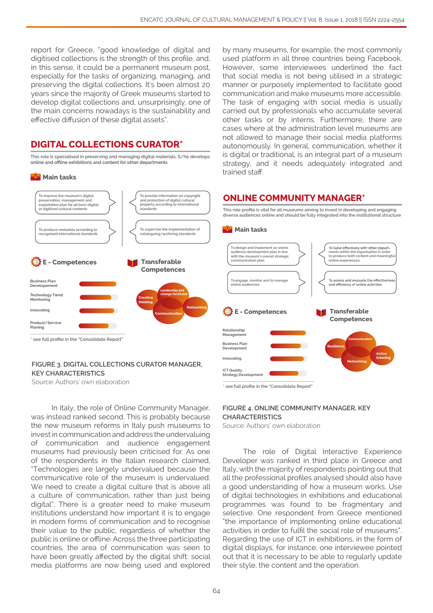report for Greece, "good knowledge of digital and digitised collections is the strength of this profile, and, in this sense, it could be a permanent museum post, especially for the tasks of organizing, managing, and preserving the digital collections. It's been almost 20 years since the majority of Greek museums started to develop digital collections and, unsurprisingly, one of the main concerns nowadays is the sustainability and effective diffusion of these digital assets".

#### **DIGITAL COLLECTIONS CURATOR\***

**This role is specialised in preserving and managing digital materials. S/he develops** online and offline exhibitions and content for other departments





#### **FIGURE 3. DIGITAL COLLECTIONS CURATOR MANAGER, KEY CHARACTERISTICS**

Source: Authors' own elaboration

In Italy, the role of Online Community Manager, was instead ranked second. This is probably because the new museum reforms in Italy push museums to invest in communication and address the undervaluing of communication and audience engagement museums had previously been criticised for. As one of the respondents in the Italian research claimed, "Technologies are largely undervalued because the communicative role of the museum is undervalued. We need to create a digital culture that is above all a culture of communication, rather than just being digital". There is a greater need to make museum institutions understand how important it is to engage in modern forms of communication and to recognise their value to the public, regardless of whether the public is online or offline. Across the three participating countries, the area of communication was seen to have been greatly affected by the digital shift: social media platforms are now being used and explored

by many museums, for example, the most commonly used platform in all three countries being Facebook. However, some interviewees underlined the fact that social media is not being utilised in a strategic manner or purposely implemented to facilitate good communication and make museums more accessible. The task of engaging with social media is usually carried out by professionals who accumulate several other tasks or by interns. Furthermore, there are cases where at the administration level museums are not allowed to manage their social media platforms autonomously. In general, communication, whether it is digital or traditional, is an integral part of a museum strategy, and it needs adequately integrated and trained staff.

#### **ONLINE COMMUNITY MANAGER\***

**This role profile is vital for all museums aiming to invest in developing and engaging diverse audiences online and should be fully integrated into the institutional structure**



**\* see full profile in the "Consolidate Report"**

#### **FIGURE 4. ONLINE COMMUNITY MANAGER, KEY CHARACTERISTICS**

Source: Authors' own elaboration

The role of Digital Interactive Experience Developer was ranked in third place in Greece and Italy, with the majority of respondents pointing out that all the professional profiles analysed should also have a good understanding of how a museum works. Use of digital technologies in exhibitions and educational programmes was found to be fragmentary and selective. One respondent from Greece mentioned "the importance of implementing online educational activities in order to fulfil the social role of museums". Regarding the use of ICT in exhibitions, in the form of digital displays, for instance, one interviewee pointed out that it is necessary to be able to regularly update their style, the content and the operation.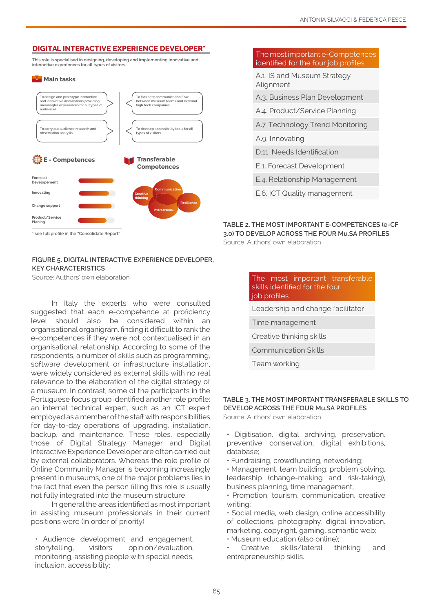#### **DIGITAL INTERACTIVE EXPERIENCE DEVELOPER\***

**This role is specialised in designing, developing and implementing innovative and interactive experiences for all types of visitors.**

#### **Main tasks**



#### **FIGURE 5. DIGITAL INTERACTIVE EXPERIENCE DEVELOPER, KEY CHARACTERISTICS**

Source: Authors' own elaboration

In Italy the experts who were consulted suggested that each e-competence at proficiency level should also be considered within an organisational organigram, finding it difficult to rank the e-competences if they were not contextualised in an organisational relationship. According to some of the respondents, a number of skills such as programming, software development or infrastructure installation, were widely considered as external skills with no real relevance to the elaboration of the digital strategy of a museum. In contrast, some of the participants in the Portuguese focus group identified another role profile: an internal technical expert, such as an ICT expert employed as a member of the staff with responsibilities for day-to-day operations of upgrading, installation, backup, and maintenance. These roles, especially those of Digital Strategy Manager and Digital Interactive Experience Developer are often carried out by external collaborators. Whereas the role profile of Online Community Manager is becoming increasingly present in museums, one of the major problems lies in the fact that even the person filling this role is usually not fully integrated into the museum structure.

In general the areas identified as most important in assisting museum professionals in their current positions were (in order of priority):

• Audience development and engagement, storytelling, visitors' opinion/evaluation, monitoring, assisting people with special needs, inclusion, accessibility;

#### The most important e-Competences identified for the four job profiles

A.1. IS and Museum Strategy Alignment

- A.3. Business Plan Development
- A.4. Product/Service Planning
- A.7. Technology Trend Monitoring
- A.9. Innovating
- D.11. Needs Identification
- E.1. Forecast Development
- E.4. Relationship Management
- E.6. ICT Quality management

#### **TABLE 2. THE MOST IMPORTANT E-COMPETENCES (e-CF 3.0) TO DEVELOP ACROSS THE FOUR Mu.SA PROFILES** Source: Authors' own elaboration

| The most important transferable<br>skills identified for the four<br>job profiles |  |  |  |  |
|-----------------------------------------------------------------------------------|--|--|--|--|
| Leadership and change facilitator                                                 |  |  |  |  |
| Time management                                                                   |  |  |  |  |
| Creative thinking skills                                                          |  |  |  |  |
| <b>Communication Skills</b>                                                       |  |  |  |  |
| Team working                                                                      |  |  |  |  |

#### **TABLE 3. THE MOST IMPORTANT TRANSFERABLE SKILLS TO DEVELOP ACROSS THE FOUR Mu.SA PROFILES**

Source: Authors' own elaboration

• Digitisation, digital archiving, preservation, preventive conservation, digital exhibitions, database;

- Fundraising, crowdfunding, networking;
- Management, team building, problem solving, leadership (change-making and risk-taking), business planning, time management;

• Promotion, tourism, communication, creative writing;

• Social media, web design, online accessibility of collections, photography, digital innovation, marketing, copyright, gaming, semantic web;

• Museum education (also online);

• Creative skills/lateral thinking and entrepreneurship skills.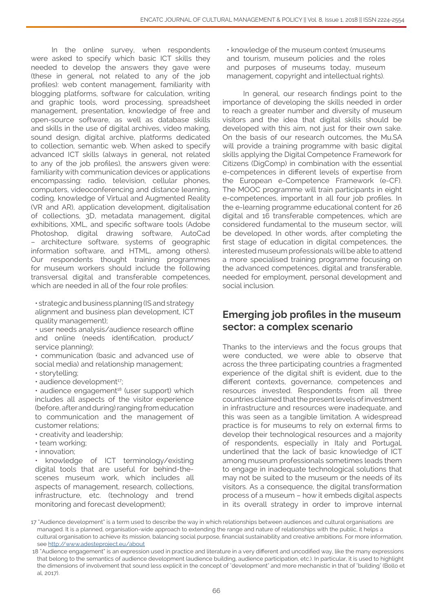In the online survey, when respondents were asked to specify which basic ICT skills they needed to develop the answers they gave were (these in general, not related to any of the job profiles): web content management, familiarity with blogging platforms, software for calculation, writing and graphic tools, word processing, spreadsheet management, presentation, knowledge of free and open-source software, as well as database skills and skills in the use of digital archives, video making, sound design, digital archive, platforms dedicated to collection, semantic web. When asked to specify advanced ICT skills (always in general, not related to any of the job profiles), the answers given were: familiarity with communication devices or applications encompassing: radio, television, cellular phones, computers, videoconferencing and distance learning, coding, knowledge of Virtual and Augmented Reality (VR and AR), application development, digitalisation of collections, 3D, metadata management, digital exhibitions, XML, and specific software tools (Adobe Photoshop, digital drawing software, AutoCad – architecture software, systems of geographic information software, and HTML, among others). Our respondents thought training programmes for museum workers should include the following transversal digital and transferable competences, which are needed in all of the four role profiles:

• strategic and business planning (IS and strategy alignment and business plan development, ICT quality management);

• user needs analysis/audience research offline and online (needs identification, product/ service planning);

• communication (basic and advanced use of social media) and relationship management;

- storytelling;
- audience development<sup>17</sup>;

• audience engagement<sup>18</sup> (user support) which includes all aspects of the visitor experience (before, after and during) ranging from education to communication and the management of customer relations;

• creativity and leadership;

• team working;

• innovation;

• knowledge of ICT terminology/existing digital tools that are useful for behind-thescenes museum work, which includes all aspects of management, research, collections, infrastructure, etc. (technology and trend monitoring and forecast development);

• knowledge of the museum context (museums and tourism, museum policies and the roles and purposes of museums today, museum management, copyright and intellectual rights).

In general, our research findings point to the importance of developing the skills needed in order to reach a greater number and diversity of museum visitors and the idea that digital skills should be developed with this aim, not just for their own sake. On the basis of our research outcomes, the Mu.SA will provide a training programme with basic digital skills applying the Digital Competence Framework for Citizens (DigComp) in combination with the essential e-competences in different levels of expertise from the European e-Competence Framework (e-CF). The MOOC programme will train participants in eight e-competences, important in all four job profiles. In the e-learning programme educational content for 26 digital and 16 transferable competences, which are considered fundamental to the museum sector, will be developed. In other words, after completing the first stage of education in digital competences, the interested museum professionals will be able to attend a more specialised training programme focusing on the advanced competences, digital and transferable, needed for employment, personal development and social inclusion.

# **Emerging job profiles in the museum sector: a complex scenario**

Thanks to the interviews and the focus groups that were conducted, we were able to observe that across the three participating countries a fragmented experience of the digital shift is evident, due to the different contexts, governance, competences and resources invested. Respondents from all three countries claimed that the present levels of investment in infrastructure and resources were inadequate, and this was seen as a tangible limitation. A widespread practice is for museums to rely on external firms to develop their technological resources and a majority of respondents, especially in Italy and Portugal, underlined that the lack of basic knowledge of ICT among museum professionals sometimes leads them to engage in inadequate technological solutions that may not be suited to the museum or the needs of its visitors. As a consequence, the digital transformation process of a museum – how it embeds digital aspects in its overall strategy in order to improve internal

<sup>17 &</sup>quot;Audience development" is a term used to describe the way in which relationships between audiences and cultural organisations are managed. It is a planned, organisation-wide approach to extending the range and nature of relationships with the public, it helps a cultural organisation to achieve its mission, balancing social purpose, financial sustainability and creative ambitions. For more information, see<http://www.adesteproject.eu/about>

 <sup>18 &</sup>quot;Audience engagement" is an expression used in practice and literature in a very different and uncodified way, like the many expressions that belong to the semantics of audience development (audience building, audience participation, etc.). In particular, it is used to highlight the dimensions of involvement that sound less explicit in the concept of "development" and more mechanistic in that of "building" (Bollo et al, 2017).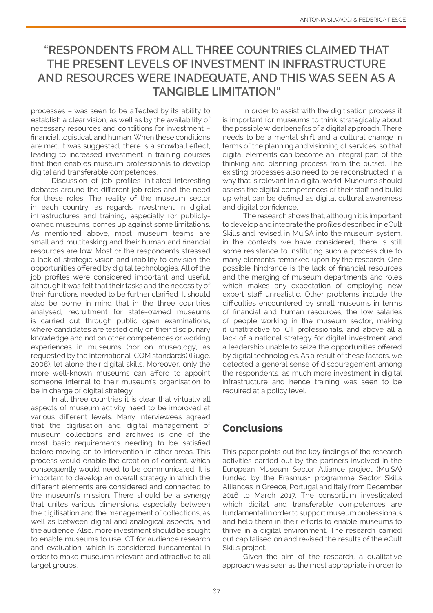# **"RESPONDENTS FROM ALL THREE COUNTRIES CLAIMED THAT THE PRESENT LEVELS OF INVESTMENT IN INFRASTRUCTURE AND RESOURCES WERE INADEQUATE, AND THIS WAS SEEN AS A TANGIBLE LIMITATION"**

processes – was seen to be affected by its ability to establish a clear vision, as well as by the availability of necessary resources and conditions for investment – financial, logistical, and human. When these conditions are met, it was suggested, there is a snowball effect, leading to increased investment in training courses that then enables museum professionals to develop digital and transferable competences.

Discussion of job profiles initiated interesting debates around the different job roles and the need for these roles. The reality of the museum sector in each country, as regards investment in digital infrastructures and training, especially for publiclyowned museums, comes up against some limitations. As mentioned above, most museum teams are small and multitasking and their human and financial resources are low. Most of the respondents stressed a lack of strategic vision and inability to envision the opportunities offered by digital technologies. All of the job profiles were considered important and useful, although it was felt that their tasks and the necessity of their functions needed to be further clarified. It should also be borne in mind that in the three countries analysed, recruitment for state-owned museums is carried out through public open examinations, where candidates are tested only on their disciplinary knowledge and not on other competences or working experiences in museums (nor on museology, as requested by the International ICOM standards) (Ruge, 2008), let alone their digital skills. Moreover, only the more well-known museums can afford to appoint someone internal to their museum's organisation to be in charge of digital strategy.

In all three countries it is clear that virtually all aspects of museum activity need to be improved at various different levels. Many interviewees agreed that the digitisation and digital management of museum collections and archives is one of the most basic requirements needing to be satisfied before moving on to intervention in other areas. This process would enable the creation of content, which consequently would need to be communicated. It is important to develop an overall strategy in which the different elements are considered and connected to the museum's mission. There should be a synergy that unites various dimensions, especially between the digitisation and the management of collections, as well as between digital and analogical aspects, and the audience. Also, more investment should be sought to enable museums to use ICT for audience research and evaluation, which is considered fundamental in order to make museums relevant and attractive to all target groups.

In order to assist with the digitisation process it is important for museums to think strategically about the possible wider benefits of a digital approach. There needs to be a mental shift and a cultural change in terms of the planning and visioning of services, so that digital elements can become an integral part of the thinking and planning process from the outset. The existing processes also need to be reconstructed in a way that is relevant in a digital world. Museums should assess the digital competences of their staff and build up what can be defined as digital cultural awareness and digital confidence.

The research shows that, although it is important to develop and integrate the profiles described in eCult Skills and revised in Mu.SA into the museum system, in the contexts we have considered, there is still some resistance to instituting such a process due to many elements remarked upon by the research. One possible hindrance is the lack of financial resources and the merging of museum departments and roles which makes any expectation of employing new expert staff unrealistic. Other problems include the difficulties encountered by small museums in terms of financial and human resources, the low salaries of people working in the museum sector, making it unattractive to ICT professionals, and above all a lack of a national strategy for digital investment and a leadership unable to seize the opportunities offered by digital technologies. As a result of these factors, we detected a general sense of discouragement among the respondents, as much more investment in digital infrastructure and hence training was seen to be required at a policy level.

# **Conclusions**

This paper points out the key findings of the research activities carried out by the partners involved in the European Museum Sector Alliance project (Mu.SA) funded by the Erasmus+ programme Sector Skills Alliances in Greece, Portugal and Italy from December 2016 to March 2017. The consortium investigated which digital and transferable competences are fundamental in order to support museum professionals and help them in their efforts to enable museums to thrive in a digital environment. The research carried out capitalised on and revised the results of the eCult Skills project.

Given the aim of the research, a qualitative approach was seen as the most appropriate in order to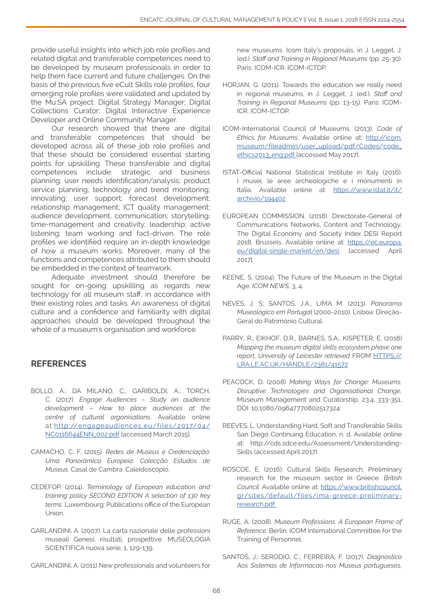provide useful insights into which job role profiles and related digital and transferable competences need to be developed by museum professionals in order to help them face current and future challenges. On the basis of the previous five eCult Skills role profiles, four emerging role profiles were validated and updated by the Mu.SA project: Digital Strategy Manager; Digital Collections Curator; Digital Interactive Experience Developer and Online Community Manager.

Our research showed that there are digital and transferable competences that should be developed across all of these job role profiles and that these should be considered essential starting points for upskilling. These transferable and digital competences include: strategic and business planning; user needs identification/analysis; product service planning; technology and trend monitoring; innovating; user support; forecast development; relationship management; ICT quality management; audience development, communication; storytelling; time-management and creativity; leadership; active listening; team working and fact-driven. The role profiles we identified require an in-depth knowledge of how a museum works. Moreover, many of the functions and competences attributed to them should be embedded in the context of teamwork.

Adequate investment should therefore be sought for on-going upskilling as regards new technology for all museum staff, in accordance with their existing roles and tasks. An awareness of digital culture and a confidence and familiarity with digital approaches should be developed throughout the whole of a museum's organisation and workforce.

#### **REFERENCES**

- BOLLO, A.; DA MILANO, C.; GARIBOLDI, A.; TORCH, C. (2017). *Engage Audiences – Study on audience development – How to place audiences at the centre of cultural organisations*. Available online at:[http://engageaudiences.eu/files/2017/04/](http://engageaudiences.eu/files/2017/04/NC0116644ENN_002.pdf) [NC0116644ENN\\_002.pdf \[accessed March 2015\].](http://engageaudiences.eu/files/2017/04/NC0116644ENN_002.pdf)
- CAMACHO, C. F. (2015). *Redes de Museus e Credenciação: Uma Panorâmica Europeia. Colecção Estudos de Museus*. Casal de Cambra: Caleidoscópio.
- CEDEFOP. (2014). *Terminology of European education and training policy SECOND EDITION A selection of 130 key terms*. Luxembourg: Publications office of the European Union.
- GARLANDINI, A. (2007). La carta nazionale delle professioni museali Genesi, risultati, prospettive. MUSEOLOGIA SCIENTIFICA nuova serie, 1, 129-139.
- GARLANDINI, A. (2011) New professionals and volunteers for

new museums. Icom Italy's proposals, in J. Legget, J. (ed.). *Staff and Training in Regional Museums* (pp. 25-30). Paris: ICOM-ICR, ICOM-ICTOP.

- HORJAN, G. (2011). Towards the education we really need in regional museums, in J. Legget, J. (ed.). *Staff and Training in Regional Museums* (pp. 13-15). Paris: ICOM-ICR, ICOM-ICTOP.
- ICOM-International Council of Museums. (2013). *Code of Ethics for Museums*. Available online at: [http://icom.](http://icom.museum/fileadmin/user_upload/pdf/Codes/code_ethics2013_eng.pdf) [museum/fileadmin/user\\_upload/pdf/Codes/code\\_](http://icom.museum/fileadmin/user_upload/pdf/Codes/code_ethics2013_eng.pdf) [ethics2013\\_eng.pdf \[accessed May 2017\].](http://icom.museum/fileadmin/user_upload/pdf/Codes/code_ethics2013_eng.pdf)
- ISTAT-Official National Statistical Institute in Italy (2016). I musei, le aree archeologiche e i monumenti in Italia. Available online at: [https://www.istat.it/it/](https://www.istat.it/it/archivio/194402 ) [archivio/194402](https://www.istat.it/it/archivio/194402 )
- EUROPEAN COMMISSION. (2018). Directorate-General of Communications Networks, Content and Technology, The Digital Economy and Society Index DESI Report 2018, Brussels. Available online at: [https://ec.europa.](https://ec.europa.eu/digital-single-market/en/desi) [eu/digital-single-market/en/desi](https://ec.europa.eu/digital-single-market/en/desi) [accessed April 2017].
- KEENE, S. (2004). The Future of the Museum in the Digital Age. *ICOM NEWS*, 3, 4.
- NEVES, J. S; SANTOS, J.A.; LIMA M. (2013). *Panorama Museológico em Portuga*l (2000-2010). Lisboa: Direção-Geral do Património Cultural.
- PARRY, R., EIKHOF, D.R., BARNES, S.A., KISPETER, E. (2018) *Mapping the museum digital skills ecosystem phase one report*, *University of Leicester retrieved* FROM [HTTPS://](HTTPS://LRA.LE.AC.UK/HANDLE/2381/41572 ) [LRA.LE.AC.UK/HANDLE/2381/41572](HTTPS://LRA.LE.AC.UK/HANDLE/2381/41572 )
- PEACOCK, D. (2008) *Making Ways for Change: Museums, Disruptive Technologies and Organisational Change,*  Museum Management and Curatorship, 23:4, 333-351, DOI: 10.1080/09647770802517324
- REEVES, L. Understanding Hard, Soft and Transferable Skills San Diego Continuing Education, n. d. Available online at: http://cds.sdce.edu/Assessment/Understanding-Skills (accessed April 2017).
- ROSCOE, E. (2016). Cultural Skills Research. Preliminary research for the museum sector in Greece. *British Council*. Available online at: [https://www.britishcouncil.](https://www.britishcouncil.gr/sites/default/files/ima-greece-preliminary-research.pdf  ) [gr/sites/default/files/ima-greece-preliminary](https://www.britishcouncil.gr/sites/default/files/ima-greece-preliminary-research.pdf  )[research.pdf](https://www.britishcouncil.gr/sites/default/files/ima-greece-preliminary-research.pdf  )
- RUGE, A. (2008). *Museum Professions. A European Frame of Reference.* Berlin: ICOM International Committee for the Training of Personnel.
- SANTOS, J.; SERODIO, C.; FERREIRA, F. (2017). *Diagnostico Aos Sistemas de Informacao nos Museus portugueses,*